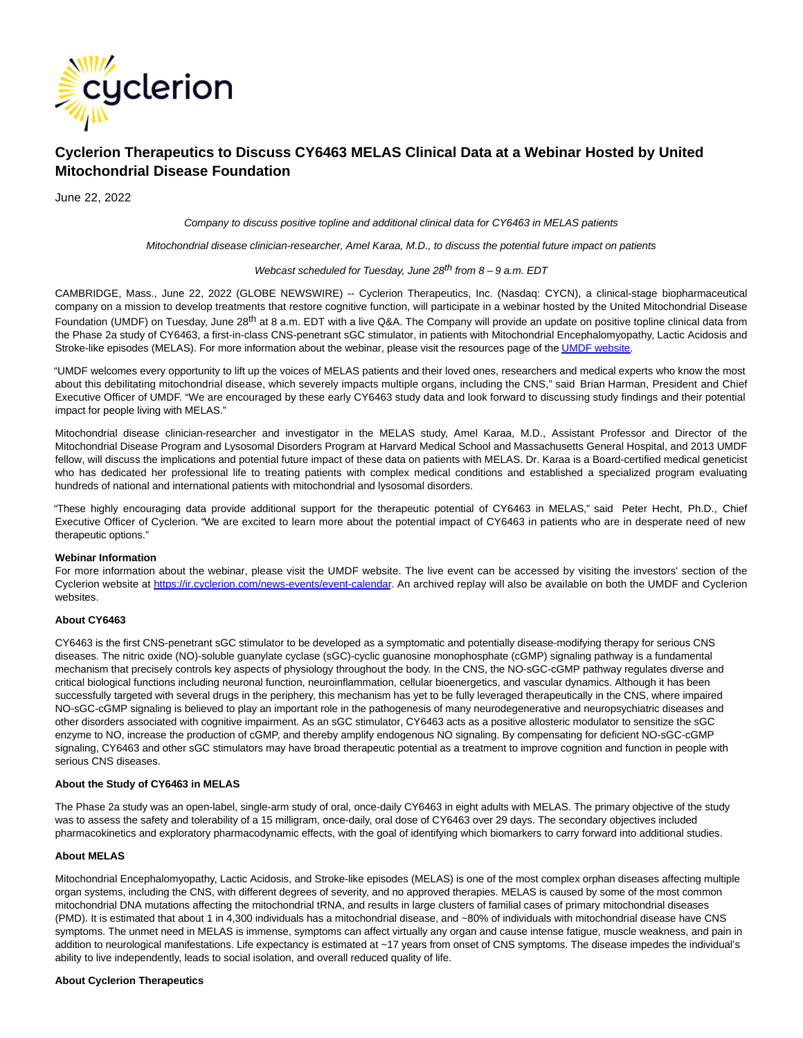

# **Cyclerion Therapeutics to Discuss CY6463 MELAS Clinical Data at a Webinar Hosted by United Mitochondrial Disease Foundation**

June 22, 2022

Company to discuss positive topline and additional clinical data for CY6463 in MELAS patients

Mitochondrial disease clinician-researcher, Amel Karaa, M.D., to discuss the potential future impact on patients

## Webcast scheduled for Tuesday, June  $28^{th}$  from  $8 - 9$  a.m. EDT

CAMBRIDGE, Mass., June 22, 2022 (GLOBE NEWSWIRE) -- Cyclerion Therapeutics, Inc. (Nasdaq: CYCN), a clinical-stage biopharmaceutical company on a mission to develop treatments that restore cognitive function, will participate in a webinar hosted by the United Mitochondrial Disease Foundation (UMDF) on Tuesday, June 28<sup>th</sup> at 8 a.m. EDT with a live Q&A. The Company will provide an update on positive topline clinical data from the Phase 2a study of CY6463, a first-in-class CNS-penetrant sGC stimulator, in patients with Mitochondrial Encephalomyopathy, Lactic Acidosis and Stroke-like episodes (MELAS). For more information about the webinar, please visit the resources page of th[e UMDF website.](https://www.globenewswire.com/Tracker?data=gJOTObtz9aZpMORl-5JAFT7J4vLtOqcqxv612hkSbC4US6zu99tRo86QxMLoh8OFxKaP-GvqqwspIhW3-BZRBqBoHij1TrqnHx4ufTq6aoY=)

"UMDF welcomes every opportunity to lift up the voices of MELAS patients and their loved ones, researchers and medical experts who know the most about this debilitating mitochondrial disease, which severely impacts multiple organs, including the CNS," said Brian Harman, President and Chief Executive Officer of UMDF. "We are encouraged by these early CY6463 study data and look forward to discussing study findings and their potential impact for people living with MELAS."

Mitochondrial disease clinician-researcher and investigator in the MELAS study, Amel Karaa, M.D., Assistant Professor and Director of the Mitochondrial Disease Program and Lysosomal Disorders Program at Harvard Medical School and Massachusetts General Hospital, and 2013 UMDF fellow, will discuss the implications and potential future impact of these data on patients with MELAS. Dr. Karaa is a Board-certified medical geneticist who has dedicated her professional life to treating patients with complex medical conditions and established a specialized program evaluating hundreds of national and international patients with mitochondrial and lysosomal disorders.

"These highly encouraging data provide additional support for the therapeutic potential of CY6463 in MELAS," said Peter Hecht, Ph.D., Chief Executive Officer of Cyclerion. "We are excited to learn more about the potential impact of CY6463 in patients who are in desperate need of new therapeutic options."

## **Webinar Information**

For more information about the webinar, please visit the UMDF website. The live event can be accessed by visiting the investors' section of the Cyclerion website at https://ir.cyclerion.com/news-events/event-calendar</u>. An archived replay will also be available on both the UMDF and Cyclerion websites.

# **About CY6463**

CY6463 is the first CNS-penetrant sGC stimulator to be developed as a symptomatic and potentially disease-modifying therapy for serious CNS diseases. The nitric oxide (NO)-soluble guanylate cyclase (sGC)-cyclic guanosine monophosphate (cGMP) signaling pathway is a fundamental mechanism that precisely controls key aspects of physiology throughout the body. In the CNS, the NO-sGC-cGMP pathway regulates diverse and critical biological functions including neuronal function, neuroinflammation, cellular bioenergetics, and vascular dynamics. Although it has been successfully targeted with several drugs in the periphery, this mechanism has yet to be fully leveraged therapeutically in the CNS, where impaired NO-sGC-cGMP signaling is believed to play an important role in the pathogenesis of many neurodegenerative and neuropsychiatric diseases and other disorders associated with cognitive impairment. As an sGC stimulator, CY6463 acts as a positive allosteric modulator to sensitize the sGC enzyme to NO, increase the production of cGMP, and thereby amplify endogenous NO signaling. By compensating for deficient NO-sGC-cGMP signaling, CY6463 and other sGC stimulators may have broad therapeutic potential as a treatment to improve cognition and function in people with serious CNS diseases.

#### **About the Study of CY6463 in MELAS**

The Phase 2a study was an open-label, single-arm study of oral, once-daily CY6463 in eight adults with MELAS. The primary objective of the study was to assess the safety and tolerability of a 15 milligram, once-daily, oral dose of CY6463 over 29 days. The secondary objectives included pharmacokinetics and exploratory pharmacodynamic effects, with the goal of identifying which biomarkers to carry forward into additional studies.

# **About MELAS**

Mitochondrial Encephalomyopathy, Lactic Acidosis, and Stroke-like episodes (MELAS) is one of the most complex orphan diseases affecting multiple organ systems, including the CNS, with different degrees of severity, and no approved therapies. MELAS is caused by some of the most common mitochondrial DNA mutations affecting the mitochondrial tRNA, and results in large clusters of familial cases of primary mitochondrial diseases (PMD). It is estimated that about 1 in 4,300 individuals has a mitochondrial disease, and ~80% of individuals with mitochondrial disease have CNS symptoms. The unmet need in MELAS is immense, symptoms can affect virtually any organ and cause intense fatigue, muscle weakness, and pain in addition to neurological manifestations. Life expectancy is estimated at ~17 years from onset of CNS symptoms. The disease impedes the individual's ability to live independently, leads to social isolation, and overall reduced quality of life.

## **About Cyclerion Therapeutics**